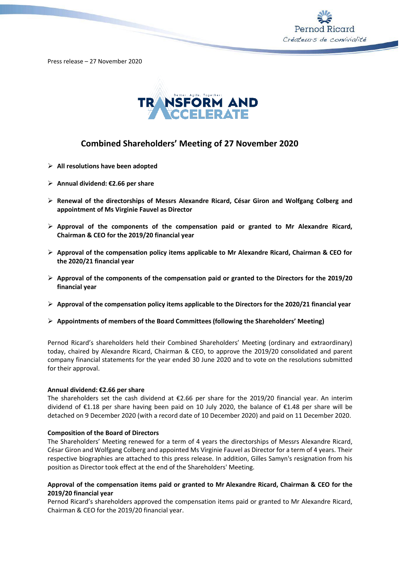

Press release – 27 November 2020



# **Combined Shareholders' Meeting of 27 November 2020**

- ➢ **All resolutions have been adopted**
- ➢ **Annual dividend: €2.66 per share**
- ➢ **Renewal of the directorships of Messrs Alexandre Ricard, César Giron and Wolfgang Colberg and appointment of Ms Virginie Fauvel as Director**
- ➢ **Approval of the components of the compensation paid or granted to Mr Alexandre Ricard, Chairman & CEO for the 2019/20 financial year**
- ➢ **Approval of the compensation policy items applicable to Mr Alexandre Ricard, Chairman & CEO for the 2020/21 financial year**
- ➢ **Approval of the components of the compensation paid or granted to the Directors for the 2019/20 financial year**
- ➢ **Approval of the compensation policy items applicable to the Directors for the 2020/21 financial year**
- ➢ **Appointments of members of the Board Committees (following the Shareholders' Meeting)**

Pernod Ricard's shareholders held their Combined Shareholders' Meeting (ordinary and extraordinary) today, chaired by Alexandre Ricard, Chairman & CEO, to approve the 2019/20 consolidated and parent company financial statements for the year ended 30 June 2020 and to vote on the resolutions submitted for their approval.

## **Annual dividend: €2.66 per share**

The shareholders set the cash dividend at €2.66 per share for the 2019/20 financial year. An interim dividend of €1.18 per share having been paid on 10 July 2020, the balance of €1.48 per share will be detached on 9 December 2020 (with a record date of 10 December 2020) and paid on 11 December 2020.

## **Composition of the Board of Directors**

The Shareholders' Meeting renewed for a term of 4 years the directorships of Messrs Alexandre Ricard, César Giron and Wolfgang Colberg and appointed Ms Virginie Fauvel as Director for a term of 4 years. Their respective biographies are attached to this press release. In addition, Gilles Samyn's resignation from his position as Director took effect at the end of the Shareholders' Meeting.

# **Approval of the compensation items paid or granted to Mr Alexandre Ricard, Chairman & CEO for the 2019/20 financial year**

Pernod Ricard's shareholders approved the compensation items paid or granted to Mr Alexandre Ricard, Chairman & CEO for the 2019/20 financial year.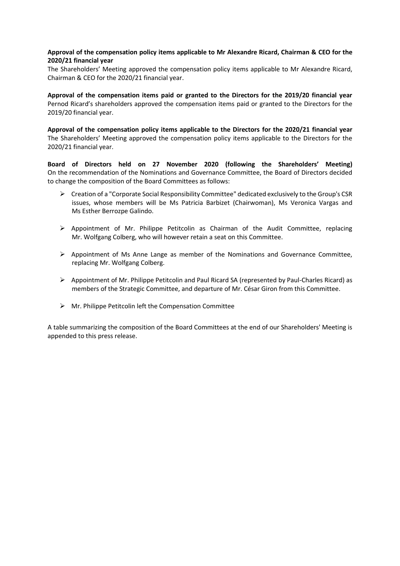# **Approval of the compensation policy items applicable to Mr Alexandre Ricard, Chairman & CEO for the 2020/21 financial year**

The Shareholders' Meeting approved the compensation policy items applicable to Mr Alexandre Ricard, Chairman & CEO for the 2020/21 financial year.

**Approval of the compensation items paid or granted to the Directors for the 2019/20 financial year** Pernod Ricard's shareholders approved the compensation items paid or granted to the Directors for the 2019/20 financial year.

**Approval of the compensation policy items applicable to the Directors for the 2020/21 financial year** The Shareholders' Meeting approved the compensation policy items applicable to the Directors for the 2020/21 financial year.

**Board of Directors held on 27 November 2020 (following the Shareholders' Meeting)**  On the recommendation of the Nominations and Governance Committee, the Board of Directors decided to change the composition of the Board Committees as follows:

- ➢ Creation of a "Corporate Social Responsibility Committee" dedicated exclusively to the Group's CSR issues, whose members will be Ms Patricia Barbizet (Chairwoman), Ms Veronica Vargas and Ms Esther Berrozpe Galindo.
- ➢ Appointment of Mr. Philippe Petitcolin as Chairman of the Audit Committee, replacing Mr. Wolfgang Colberg, who will however retain a seat on this Committee.
- $\triangleright$  Appointment of Ms Anne Lange as member of the Nominations and Governance Committee, replacing Mr. Wolfgang Colberg.
- ➢ Appointment of Mr. Philippe Petitcolin and Paul Ricard SA (represented by Paul-Charles Ricard) as members of the Strategic Committee, and departure of Mr. César Giron from this Committee.
- $\triangleright$  Mr. Philippe Petitcolin left the Compensation Committee

A table summarizing the composition of the Board Committees at the end of our Shareholders' Meeting is appended to this press release.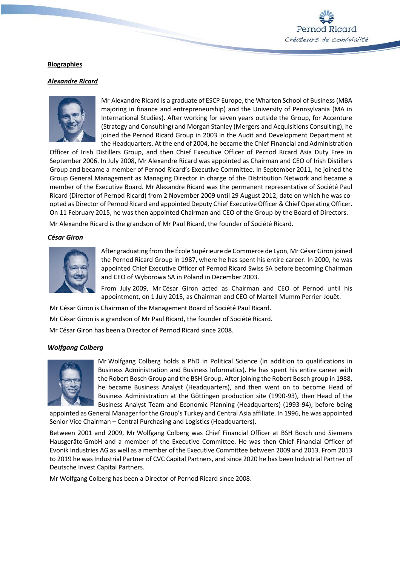

# **Biographies**

# *Alexandre Ricard*



Mr Alexandre Ricard is a graduate of ESCP Europe, the Wharton School of Business (MBA majoring in finance and entrepreneurship) and the University of Pennsylvania (MA in International Studies). After working for seven years outside the Group, for Accenture (Strategy and Consulting) and Morgan Stanley (Mergers and Acquisitions Consulting), he joined the Pernod Ricard Group in 2003 in the Audit and Development Department at the Headquarters. At the end of 2004, he became the Chief Financial and Administration

Officer of Irish Distillers Group, and then Chief Executive Officer of Pernod Ricard Asia Duty Free in September 2006. In July 2008, Mr Alexandre Ricard was appointed as Chairman and CEO of Irish Distillers Group and became a member of Pernod Ricard's Executive Committee. In September 2011, he joined the Group General Management as Managing Director in charge of the Distribution Network and became a member of the Executive Board. Mr Alexandre Ricard was the permanent representative of Société Paul Ricard (Director of Pernod Ricard) from 2 November 2009 until 29 August 2012, date on which he was coopted as Director of Pernod Ricard and appointed Deputy Chief Executive Officer & Chief Operating Officer. On 11 February 2015, he was then appointed Chairman and CEO of the Group by the Board of Directors.

Mr Alexandre Ricard is the grandson of Mr Paul Ricard, the founder of Société Ricard.

## *César Giron*



After graduating from the École Supérieure de Commerce de Lyon, Mr César Giron joined the Pernod Ricard Group in 1987, where he has spent his entire career. In 2000, he was appointed Chief Executive Officer of Pernod Ricard Swiss SA before becoming Chairman and CEO of Wyborowa SA in Poland in December 2003.

From July 2009, Mr César Giron acted as Chairman and CEO of Pernod until his appointment, on 1 July 2015, as Chairman and CEO of Martell Mumm Perrier-Jouët.

Mr César Giron is Chairman of the Management Board of Société Paul Ricard.

Mr César Giron is a grandson of Mr Paul Ricard, the founder of Société Ricard.

Mr César Giron has been a Director of Pernod Ricard since 2008.

## *Wolfgang Colberg*



Mr Wolfgang Colberg holds a PhD in Political Science (in addition to qualifications in Business Administration and Business Informatics). He has spent his entire career with the Robert Bosch Group and the BSH Group. After joining the Robert Bosch group in 1988, he became Business Analyst (Headquarters), and then went on to become Head of Business Administration at the Göttingen production site (1990-93), then Head of the Business Analyst Team and Economic Planning (Headquarters) (1993-94), before being

appointed as General Manager for the Group's Turkey and Central Asia affiliate. In 1996, he was appointed Senior Vice Chairman – Central Purchasing and Logistics (Headquarters).

Between 2001 and 2009, Mr Wolfgang Colberg was Chief Financial Officer at BSH Bosch und Siemens Hausgeräte GmbH and a member of the Executive Committee. He was then Chief Financial Officer of Evonik Industries AG as well as a member of the Executive Committee between 2009 and 2013. From 2013 to 2019 he was Industrial Partner of CVC Capital Partners, and since 2020 he has been Industrial Partner of Deutsche Invest Capital Partners.

Mr Wolfgang Colberg has been a Director of Pernod Ricard since 2008.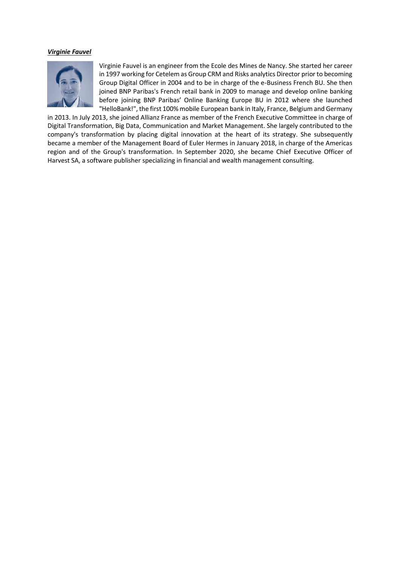# *Virginie Fauvel*



Virginie Fauvel is an engineer from the Ecole des Mines de Nancy. She started her career in 1997 working for Cetelem as Group CRM and Risks analytics Director prior to becoming Group Digital Officer in 2004 and to be in charge of the e-Business French BU. She then joined BNP Paribas's French retail bank in 2009 to manage and develop online banking before joining BNP Paribas' Online Banking Europe BU in 2012 where she launched "HelloBank!", the first 100% mobile European bank in Italy, France, Belgium and Germany

in 2013. In July 2013, she joined Allianz France as member of the French Executive Committee in charge of Digital Transformation, Big Data, Communication and Market Management. She largely contributed to the company's transformation by placing digital innovation at the heart of its strategy. She subsequently became a member of the Management Board of Euler Hermes in January 2018, in charge of the Americas region and of the Group's transformation. In September 2020, she became Chief Executive Officer of Harvest SA, a software publisher specializing in financial and wealth management consulting.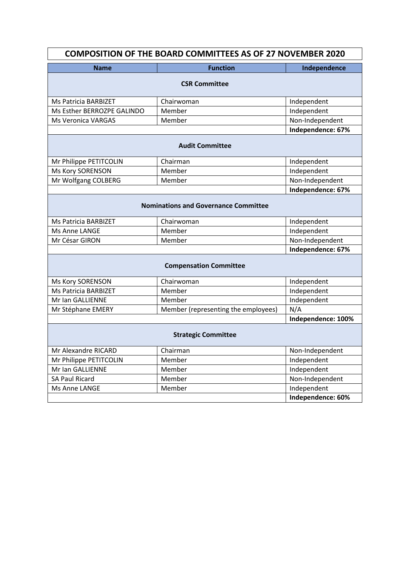| <b>COMPOSITION OF THE BOARD COMMITTEES AS OF 27 NOVEMBER 2020</b> |                                     |                    |  |
|-------------------------------------------------------------------|-------------------------------------|--------------------|--|
| <b>Name</b>                                                       | <b>Function</b>                     | Independence       |  |
| <b>CSR Committee</b>                                              |                                     |                    |  |
| Ms Patricia BARBIZET                                              | Chairwoman                          | Independent        |  |
| Ms Esther BERROZPE GALINDO                                        | Member                              | Independent        |  |
| <b>Ms Veronica VARGAS</b>                                         | Member                              | Non-Independent    |  |
|                                                                   |                                     | Independence: 67%  |  |
| <b>Audit Committee</b>                                            |                                     |                    |  |
| Mr Philippe PETITCOLIN                                            | Chairman                            | Independent        |  |
| Ms Kory SORENSON                                                  | Member                              | Independent        |  |
| Mr Wolfgang COLBERG                                               | Member                              | Non-Independent    |  |
|                                                                   |                                     | Independence: 67%  |  |
| <b>Nominations and Governance Committee</b>                       |                                     |                    |  |
| Ms Patricia BARBIZET                                              | Chairwoman                          | Independent        |  |
| Ms Anne LANGE                                                     | Member                              | Independent        |  |
| Mr César GIRON                                                    | Member                              | Non-Independent    |  |
|                                                                   |                                     | Independence: 67%  |  |
| <b>Compensation Committee</b>                                     |                                     |                    |  |
| Ms Kory SORENSON                                                  | Chairwoman                          | Independent        |  |
| Ms Patricia BARBIZET                                              | Member                              | Independent        |  |
| Mr Ian GALLIENNE                                                  | Member                              | Independent        |  |
| Mr Stéphane EMERY                                                 | Member (representing the employees) | N/A                |  |
|                                                                   |                                     | Independence: 100% |  |
| <b>Strategic Committee</b>                                        |                                     |                    |  |
| Mr Alexandre RICARD                                               | Chairman                            | Non-Independent    |  |
| Mr Philippe PETITCOLIN                                            | Member                              | Independent        |  |
| Mr Ian GALLIENNE                                                  | Member                              | Independent        |  |
| SA Paul Ricard                                                    | Member                              | Non-Independent    |  |
| Ms Anne LANGE                                                     | Member                              | Independent        |  |
|                                                                   |                                     | Independence: 60%  |  |